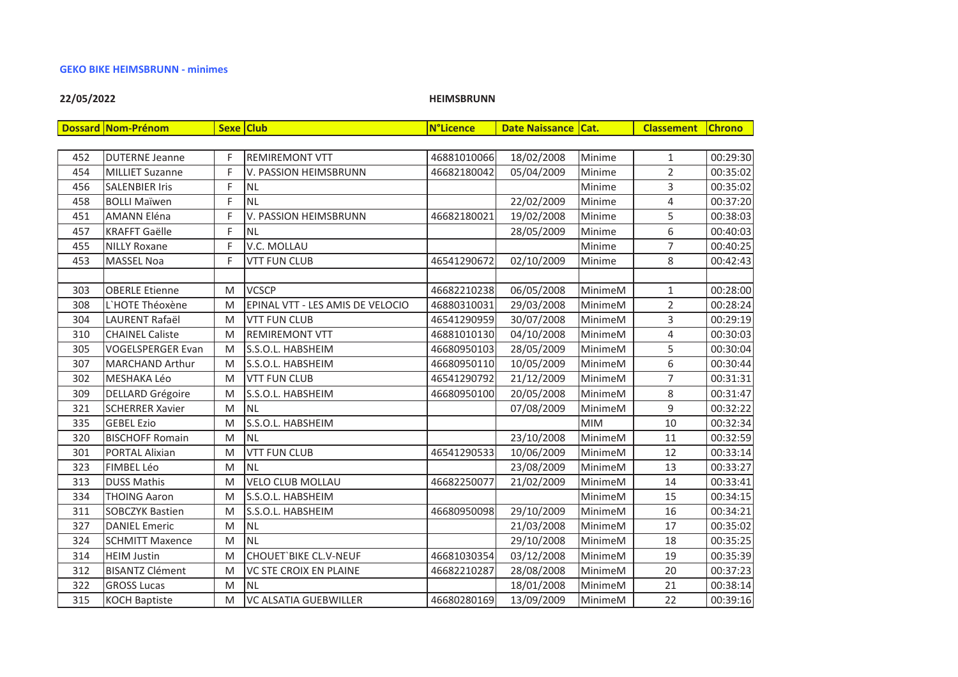#### **GEKO BIKE HEIMSBRUNN - minimes**

# 22/05/2022

**HEIMSBRUNN** 

|     | <b>Dossard Nom-Prénom</b> |   | Sexe Club                        | <b>N°Licence</b> | Date Naissance   Cat. |            | <b>Classement</b> | <b>Chrono</b> |
|-----|---------------------------|---|----------------------------------|------------------|-----------------------|------------|-------------------|---------------|
|     |                           |   |                                  |                  |                       |            |                   |               |
| 452 | <b>DUTERNE Jeanne</b>     | F | <b>REMIREMONT VTT</b>            | 46881010066      | 18/02/2008            | Minime     | $\mathbf{1}$      | 00:29:30      |
| 454 | <b>MILLIET Suzanne</b>    | F | V. PASSION HEIMSBRUNN            | 46682180042      | 05/04/2009            | Minime     | $\overline{2}$    | 00:35:02      |
| 456 | <b>SALENBIER Iris</b>     | F | <b>NL</b>                        |                  |                       | Minime     | 3                 | 00:35:02      |
| 458 | <b>BOLLI Maïwen</b>       | F | <b>NL</b>                        |                  | 22/02/2009            | Minime     | 4                 | 00:37:20      |
| 451 | <b>AMANN Eléna</b>        | F | V. PASSION HEIMSBRUNN            | 46682180021      | 19/02/2008            | Minime     | 5                 | 00:38:03      |
| 457 | <b>KRAFFT Gaëlle</b>      | F | <b>NL</b>                        |                  | 28/05/2009            | Minime     | 6                 | 00:40:03      |
| 455 | <b>NILLY Roxane</b>       | F | V.C. MOLLAU                      |                  |                       | Minime     | 7                 | 00:40:25      |
| 453 | <b>MASSEL Noa</b>         | F | <b>VTT FUN CLUB</b>              | 46541290672      | 02/10/2009            | Minime     | 8                 | 00:42:43      |
|     |                           |   |                                  |                  |                       |            |                   |               |
| 303 | <b>OBERLE Etienne</b>     | M | <b>VCSCP</b>                     | 46682210238      | 06/05/2008            | MinimeM    | 1                 | 00:28:00      |
| 308 | L'HOTE Théoxène           | M | EPINAL VTT - LES AMIS DE VELOCIO | 46880310031      | 29/03/2008            | MinimeM    | $\overline{2}$    | 00:28:24      |
| 304 | LAURENT Rafaël            | M | <b>VTT FUN CLUB</b>              | 46541290959      | 30/07/2008            | MinimeM    | 3                 | 00:29:19      |
| 310 | <b>CHAINEL Caliste</b>    | M | <b>REMIREMONT VTT</b>            | 46881010130      | 04/10/2008            | MinimeM    | $\overline{4}$    | 00:30:03      |
| 305 | <b>VOGELSPERGER Evan</b>  | M | S.S.O.L. HABSHEIM                | 46680950103      | 28/05/2009            | MinimeM    | 5                 | 00:30:04      |
| 307 | <b>MARCHAND Arthur</b>    | M | S.S.O.L. HABSHEIM                | 46680950110      | 10/05/2009            | MinimeM    | 6                 | 00:30:44      |
| 302 | MESHAKA Léo               | M | <b>VTT FUN CLUB</b>              | 46541290792      | 21/12/2009            | MinimeM    | $\overline{7}$    | 00:31:31      |
| 309 | <b>DELLARD Grégoire</b>   | M | S.S.O.L. HABSHEIM                | 46680950100      | 20/05/2008            | MinimeM    | 8                 | 00:31:47      |
| 321 | <b>SCHERRER Xavier</b>    | M | <b>NL</b>                        |                  | 07/08/2009            | MinimeM    | 9                 | 00:32:22      |
| 335 | <b>GEBEL Ezio</b>         | M | S.S.O.L. HABSHEIM                |                  |                       | <b>MIM</b> | 10                | 00:32:34      |
| 320 | <b>BISCHOFF Romain</b>    | M | NL                               |                  | 23/10/2008            | MinimeM    | 11                | 00:32:59      |
| 301 | PORTAL Alixian            | M | <b>VTT FUN CLUB</b>              | 46541290533      | 10/06/2009            | MinimeM    | 12                | 00:33:14      |
| 323 | <b>FIMBEL Léo</b>         | M | <b>NL</b>                        |                  | 23/08/2009            | MinimeM    | 13                | 00:33:27      |
| 313 | <b>DUSS Mathis</b>        | M | <b>VELO CLUB MOLLAU</b>          | 46682250077      | 21/02/2009            | MinimeM    | 14                | 00:33:41      |
| 334 | <b>THOING Aaron</b>       | M | S.S.O.L. HABSHEIM                |                  |                       | MinimeM    | 15                | 00:34:15      |
| 311 | <b>SOBCZYK Bastien</b>    | M | S.S.O.L. HABSHEIM                | 46680950098      | 29/10/2009            | MinimeM    | 16                | 00:34:21      |
| 327 | <b>DANIEL Emeric</b>      | M | <b>NL</b>                        |                  | 21/03/2008            | MinimeM    | 17                | 00:35:02      |
| 324 | <b>SCHMITT Maxence</b>    | M | <b>NL</b>                        |                  | 29/10/2008            | MinimeM    | 18                | 00:35:25      |
| 314 | <b>HEIM Justin</b>        | M | <b>CHOUET'BIKE CL.V-NEUF</b>     | 46681030354      | 03/12/2008            | MinimeM    | 19                | 00:35:39      |
| 312 | <b>BISANTZ Clément</b>    | M | <b>VC STE CROIX EN PLAINE</b>    | 46682210287      | 28/08/2008            | MinimeM    | 20                | 00:37:23      |
| 322 | <b>GROSS Lucas</b>        | M | <b>NL</b>                        |                  | 18/01/2008            | MinimeM    | 21                | 00:38:14      |
| 315 | <b>KOCH Baptiste</b>      | M | <b>VC ALSATIA GUEBWILLER</b>     | 46680280169      | 13/09/2009            | MinimeM    | 22                | 00:39:16      |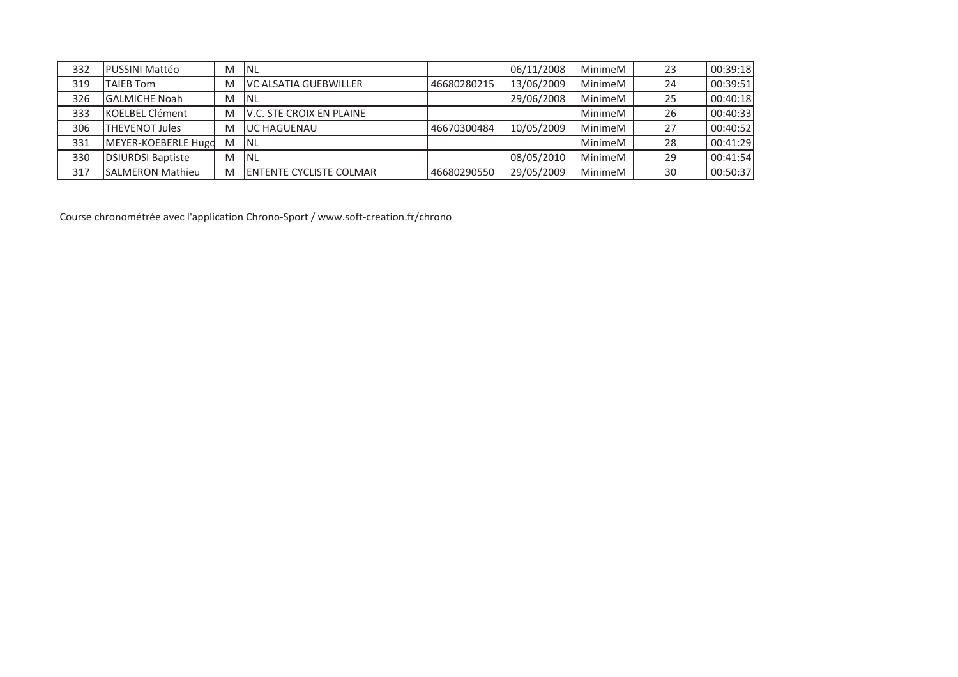| 332 | <b>PUSSINI Mattéo</b>    | M | <b>INL</b>                       |             | 06/11/2008 | MinimeM        | 23 | 00:39:18 |
|-----|--------------------------|---|----------------------------------|-------------|------------|----------------|----|----------|
| 319 | <b>TAIEB Tom</b>         | M | <b>IVC ALSATIA GUEBWILLER</b>    | 46680280215 | 13/06/2009 | MinimeM        | 24 | 00:39:51 |
| 326 | <b>GALMICHE Noah</b>     | M | INL                              |             | 29/06/2008 | MinimeM        | 25 | 00:40:18 |
| 333 | <b>KOELBEL Clément</b>   | M | <b>IV.C. STE CROIX EN PLAINE</b> |             |            | <b>MinimeM</b> | 26 | 00:40:33 |
| 306 | <b>THEVENOT Jules</b>    | M | <b>JUC HAGUENAU</b>              | 46670300484 | 10/05/2009 | MinimeM        | 27 | 00:40:52 |
| 331 | MEYER-KOEBERLE Hugo      | M | <b>INL</b>                       |             |            | <b>MinimeM</b> | 28 | 00:41:29 |
| 330 | <b>DSIURDSI Baptiste</b> | M | INL                              |             | 08/05/2010 | MinimeM        | 29 | 00:41:54 |
| 317 | <b>SALMERON Mathieu</b>  | M | <b>IENTENTE CYCLISTE COLMAR</b>  | 46680290550 | 29/05/2009 | MinimeM        | 30 | 00:50:37 |

Course chronométrée avec l'application Chrono-Sport / www.soft-creation.fr/chrono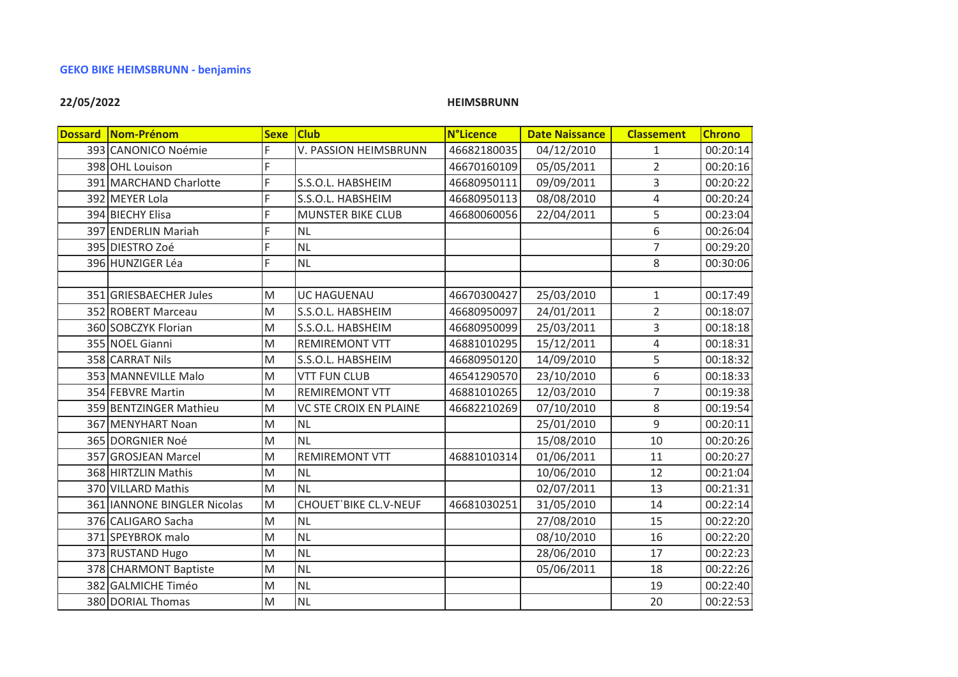# **GEKO BIKE HEIMSBRUNN - benjamins**

# 22/05/2022

# **HEIMSBRUNN**

| Dossard Nom-Prénom          | <b>Sexe</b> | <b>Club</b>                   | <b>N°Licence</b> | <b>Date Naissance</b> | <b>Classement</b> | <b>Chrono</b> |
|-----------------------------|-------------|-------------------------------|------------------|-----------------------|-------------------|---------------|
| 393 CANONICO Noémie         | F           | V. PASSION HEIMSBRUNN         | 46682180035      | 04/12/2010            | 1                 | 00:20:14      |
| 398 OHL Louison             | F           |                               | 46670160109      | 05/05/2011            | $\overline{2}$    | 00:20:16      |
| 391 MARCHAND Charlotte      | F           | S.S.O.L. HABSHEIM             | 46680950111      | 09/09/2011            | 3                 | 00:20:22      |
| 392 MEYER Lola              | F           | S.S.O.L. HABSHEIM             | 46680950113      | 08/08/2010            | 4                 | 00:20:24      |
| 394 BIECHY Elisa            | F           | <b>MUNSTER BIKE CLUB</b>      | 46680060056      | 22/04/2011            | 5                 | 00:23:04      |
| 397 ENDERLIN Mariah         | F           | <b>NL</b>                     |                  |                       | 6                 | 00:26:04      |
| 395 DIESTRO Zoé             | F           | <b>NL</b>                     |                  |                       | $\overline{7}$    | 00:29:20      |
| 396 HUNZIGER Léa            | F           | <b>NL</b>                     |                  |                       | 8                 | 00:30:06      |
|                             |             |                               |                  |                       |                   |               |
| 351 GRIESBAECHER Jules      | M           | UC HAGUENAU                   | 46670300427      | 25/03/2010            | $\mathbf{1}$      | 00:17:49      |
| 352 ROBERT Marceau          | M           | S.S.O.L. HABSHEIM             | 46680950097      | 24/01/2011            | $\overline{2}$    | 00:18:07      |
| 360 SOBCZYK Florian         | M           | S.S.O.L. HABSHEIM             | 46680950099      | 25/03/2011            | 3                 | 00:18:18      |
| 355 NOEL Gianni             | M           | <b>REMIREMONT VTT</b>         | 46881010295      | 15/12/2011            | $\overline{4}$    | 00:18:31      |
| 358 CARRAT Nils             | M           | S.S.O.L. HABSHEIM             | 46680950120      | 14/09/2010            | 5                 | 00:18:32      |
| 353 MANNEVILLE Malo         | M           | <b>VTT FUN CLUB</b>           | 46541290570      | 23/10/2010            | 6                 | 00:18:33      |
| 354 FEBVRE Martin           | M           | <b>REMIREMONT VTT</b>         | 46881010265      | 12/03/2010            | $\overline{7}$    | 00:19:38      |
| 359 BENTZINGER Mathieu      | M           | <b>VC STE CROIX EN PLAINE</b> | 46682210269      | 07/10/2010            | 8                 | 00:19:54      |
| 367 MENYHART Noan           | M           | <b>NL</b>                     |                  | 25/01/2010            | $\mathsf g$       | 00:20:11      |
| 365 DORGNIER Noé            | M           | <b>NL</b>                     |                  | 15/08/2010            | 10                | 00:20:26      |
| 357 GROSJEAN Marcel         | M           | <b>REMIREMONT VTT</b>         | 46881010314      | 01/06/2011            | 11                | 00:20:27      |
| 368 HIRTZLIN Mathis         | M           | <b>NL</b>                     |                  | 10/06/2010            | 12                | 00:21:04      |
| 370 VILLARD Mathis          | M           | <b>NL</b>                     |                  | 02/07/2011            | 13                | 00:21:31      |
| 361 IANNONE BINGLER Nicolas | M           | <b>CHOUET'BIKE CL.V-NEUF</b>  | 46681030251      | 31/05/2010            | 14                | 00:22:14      |
| 376 CALIGARO Sacha          | M           | <b>NL</b>                     |                  | 27/08/2010            | 15                | 00:22:20      |
| 371 SPEYBROK malo           | M           | <b>NL</b>                     |                  | 08/10/2010            | 16                | 00:22:20      |
| 373 RUSTAND Hugo            | M           | <b>NL</b>                     |                  | 28/06/2010            | 17                | 00:22:23      |
| 378 CHARMONT Baptiste       | M           | <b>NL</b>                     |                  | 05/06/2011            | 18                | 00:22:26      |
| 382 GALMICHE Timéo          | M           | <b>NL</b>                     |                  |                       | 19                | 00:22:40      |
| 380 DORIAL Thomas           | M           | <b>NL</b>                     |                  |                       | 20                | 00:22:53      |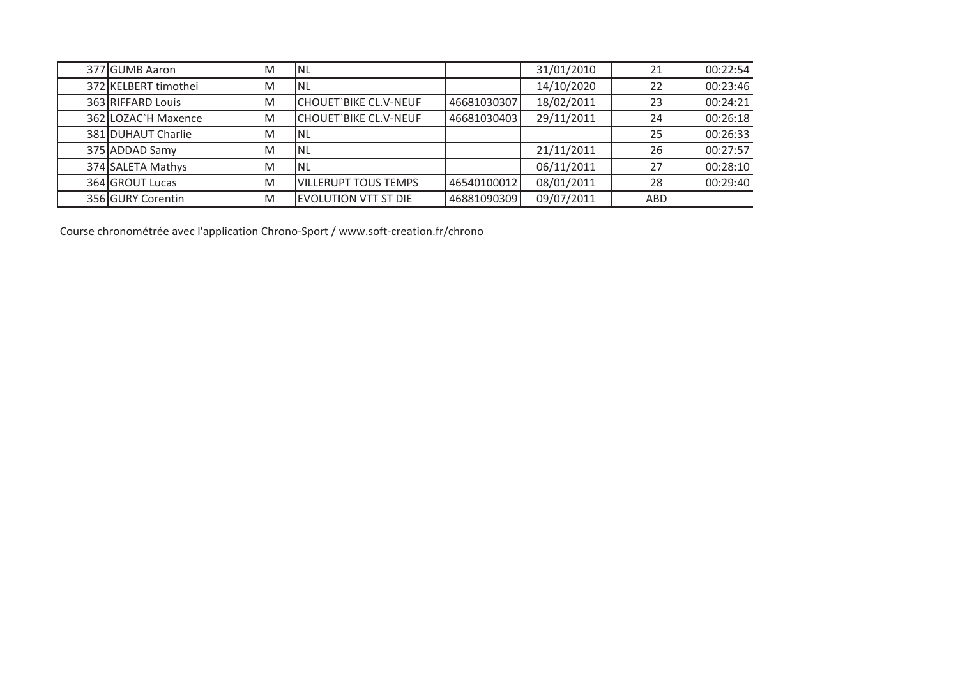| 377 GUMB Aaron       | ΙM | <b>INL</b>                   |             | 31/01/2010 | 21  | 00:22:54 |
|----------------------|----|------------------------------|-------------|------------|-----|----------|
| 372 KELBERT timothei | ΙM | <sup>I</sup> NL              |             | 14/10/2020 | 22  | 00:23:46 |
| 363 RIFFARD Louis    | ΙM | CHOUET`BIKE CL.V-NEUF        | 46681030307 | 18/02/2011 | 23  | 00:24:21 |
| 362 LOZAC`H Maxence  | ΙM | <b>CHOUET'BIKE CL.V-NEUF</b> | 46681030403 | 29/11/2011 | 24  | 00:26:18 |
| 381 DUHAUT Charlie   | ΙM | INL                          |             |            | 25  | 00:26:33 |
| 375 ADDAD Samy       | ΙM | <b>INL</b>                   |             | 21/11/2011 | 26  | 00:27:57 |
| 374 SALETA Mathys    | ΙM | Inl                          |             | 06/11/2011 | 27  | 00:28:10 |
| 364 GROUT Lucas      | ΙM | VILLERUPT TOUS TEMPS         | 46540100012 | 08/01/2011 | 28  | 00:29:40 |
| 356 GURY Corentin    | ΙM | <b>EVOLUTION VTT ST DIE</b>  | 46881090309 | 09/07/2011 | ABD |          |

Course chronométrée avec l'application Chrono-Sport / www.soft-creation.fr/chrono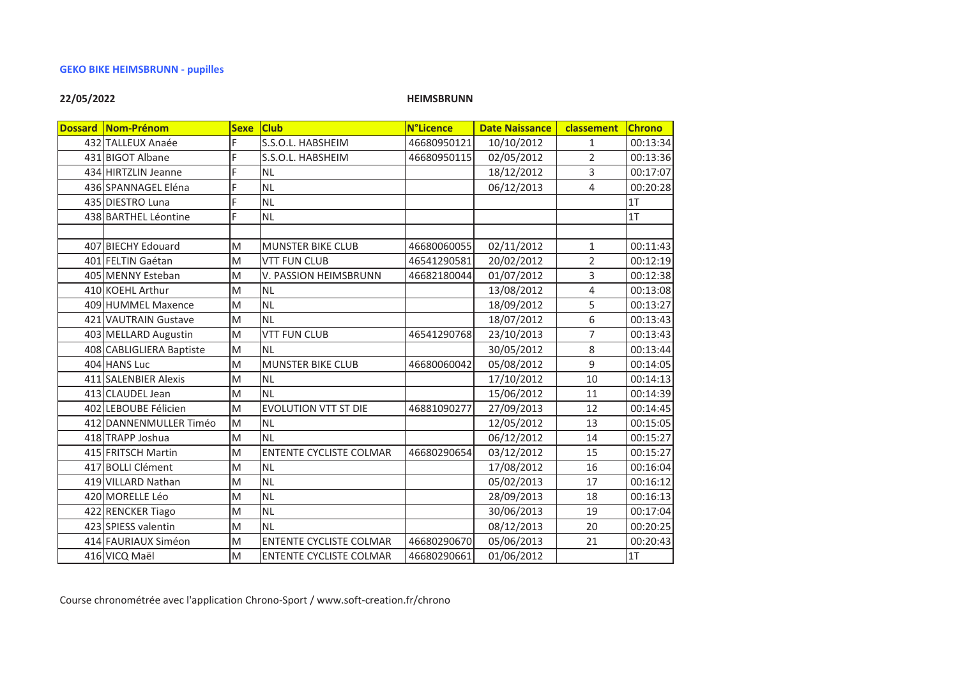# 22/05/2022

**HEIMSBRUNN** 

| Dossard Nom-Prénom       | <b>Sexe</b> | <b>Club</b>                    | <b>N°Licence</b> | <b>Date Naissance</b> | classement     | <b>Chrono</b> |
|--------------------------|-------------|--------------------------------|------------------|-----------------------|----------------|---------------|
| 432 TALLEUX Anaée        | F           | S.S.O.L. HABSHEIM              | 46680950121      | 10/10/2012            | $\mathbf{1}$   | 00:13:34      |
| 431 BIGOT Albane         | F           | S.S.O.L. HABSHEIM              | 46680950115      |                       | $\overline{2}$ | 00:13:36      |
| 434 HIRTZLIN Jeanne      | F           | <b>NL</b>                      |                  | 18/12/2012            | 3              | 00:17:07      |
| 436 SPANNAGEL Eléna      | F           | <b>NL</b>                      |                  | 06/12/2013            | 4              | 00:20:28      |
| 435 DIESTRO Luna         | F           | NL                             |                  |                       |                | 1T            |
| 438 BARTHEL Léontine     | F           | <b>NL</b>                      |                  |                       |                | 1T            |
|                          |             |                                |                  |                       |                |               |
| 407 BIECHY Edouard       | M           | <b>MUNSTER BIKE CLUB</b>       | 46680060055      | 02/11/2012            | $\mathbf{1}$   | 00:11:43      |
| 401 FELTIN Gaétan        | M           | <b>VTT FUN CLUB</b>            | 46541290581      | 20/02/2012            | $\overline{2}$ | 00:12:19      |
| 405 MENNY Esteban        | M           | V. PASSION HEIMSBRUNN          | 46682180044      | 01/07/2012            | 3              | 00:12:38      |
| 410 KOEHL Arthur         | M           | NL                             |                  | 13/08/2012            | 4              | 00:13:08      |
| 409 HUMMEL Maxence       | M           | <b>NL</b>                      |                  | 18/09/2012            | 5              | 00:13:27      |
| 421 VAUTRAIN Gustave     | M           | <b>NL</b>                      |                  | 18/07/2012            | 6              | 00:13:43      |
| 403 MELLARD Augustin     | M           | <b>VTT FUN CLUB</b>            | 46541290768      | 23/10/2013            | 7              | 00:13:43      |
| 408 CABLIGLIERA Baptiste | M           | İNL                            |                  | 30/05/2012            | 8              | 00:13:44      |
| 404 HANS Luc             | M           | <b>MUNSTER BIKE CLUB</b>       | 46680060042      | 05/08/2012            | 9              | 00:14:05      |
| 411 SALENBIER Alexis     | M           | NL                             |                  | 17/10/2012            | 10             | 00:14:13      |
| 413 CLAUDEL Jean         | M           | <b>NL</b>                      |                  | 15/06/2012            | 11             | 00:14:39      |
| 402 LEBOUBE Félicien     | M           | <b>EVOLUTION VTT ST DIE</b>    | 46881090277      | 27/09/2013            | 12             | 00:14:45      |
| 412 DANNENMULLER Timéo   | M           | NL                             |                  | 12/05/2012            | 13             | 00:15:05      |
| 418 TRAPP Joshua         | M           | İNL                            |                  | 06/12/2012            | 14             | 00:15:27      |
| 415 FRITSCH Martin       | M           | <b>ENTENTE CYCLISTE COLMAR</b> | 46680290654      | 03/12/2012            | 15             | 00:15:27      |
| 417 BOLLI Clément        | M           | İNL                            |                  | 17/08/2012            | 16             | 00:16:04      |
| 419 VILLARD Nathan       | M           | NL                             |                  | 05/02/2013            | 17             | 00:16:12      |
| 420 MORELLE Léo          | M           | NL                             |                  | 28/09/2013            | 18             | 00:16:13      |
| 422 RENCKER Tiago        | M           | NL                             |                  | 30/06/2013            | 19             | 00:17:04      |
| 423 SPIESS valentin      | M           | İNL                            |                  | 08/12/2013            | 20             | 00:20:25      |
| 414 FAURIAUX Siméon      | M           | <b>ENTENTE CYCLISTE COLMAR</b> | 46680290670      | 05/06/2013            | 21             | 00:20:43      |
| 416 VICQ Maël            | M           | <b>ENTENTE CYCLISTE COLMAR</b> | 46680290661      | 01/06/2012            |                | 1T            |

Course chronométrée avec l'application Chrono-Sport / www.soft-creation.fr/chrono